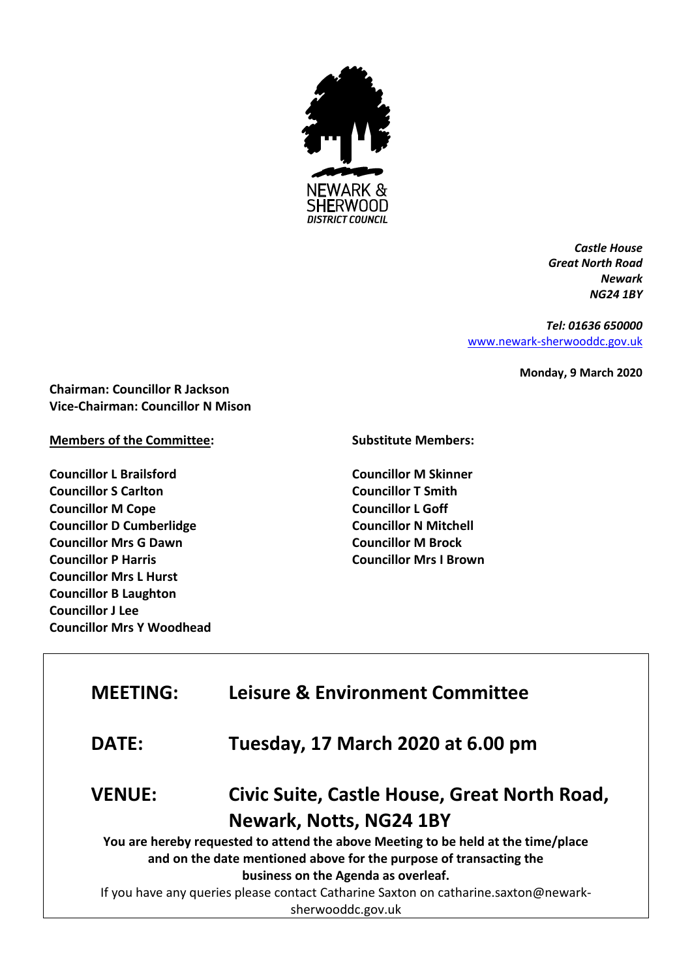

*Castle House Great North Road Newark NG24 1BY*

*Tel: 01636 650000* [www.newark-sherwooddc.gov.uk](http://www.newark-sherwooddc.gov.uk/)

**Monday, 9 March 2020**

**Chairman: Councillor R Jackson Vice-Chairman: Councillor N Mison**

## **Members of the Committee:**

**Councillor L Brailsford Councillor S Carlton Councillor M Cope Councillor D Cumberlidge Councillor Mrs G Dawn Councillor P Harris Councillor Mrs L Hurst Councillor B Laughton Councillor J Lee Councillor Mrs Y Woodhead** **Substitute Members:**

**Councillor M Skinner Councillor T Smith Councillor L Goff Councillor N Mitchell Councillor M Brock Councillor Mrs I Brown**

| <b>MEETING:</b>                                                                     | <b>Leisure &amp; Environment Committee</b>   |  |  |
|-------------------------------------------------------------------------------------|----------------------------------------------|--|--|
| <b>DATE:</b>                                                                        | Tuesday, 17 March 2020 at 6.00 pm            |  |  |
| <b>VENUE:</b>                                                                       | Civic Suite, Castle House, Great North Road, |  |  |
| Newark, Notts, NG24 1BY                                                             |                                              |  |  |
| You are hereby requested to attend the above Meeting to be held at the time/place   |                                              |  |  |
| and on the date mentioned above for the purpose of transacting the                  |                                              |  |  |
| business on the Agenda as overleaf.                                                 |                                              |  |  |
| If you have any queries please contact Catharine Saxton on catharine.saxton@newark- |                                              |  |  |
| sherwooddc.gov.uk                                                                   |                                              |  |  |